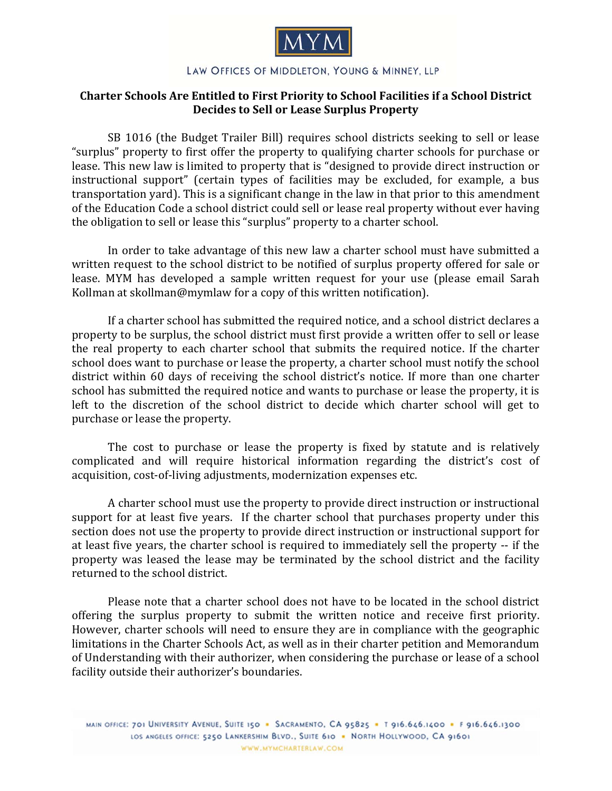

## LAW OFFICES OF MIDDLETON, YOUNG & MINNEY, LLP

## **Charter Schools Are Entitled to First Priority to School Facilities if a School District Decides to Sell or Lease Surplus Property**

SB 1016 (the Budget Trailer Bill) requires school districts seeking to sell or lease "surplus" property to first offer the property to qualifying charter schools for purchase or lease. This new law is limited to property that is "designed to provide direct instruction or instructional support" (certain types of facilities may be excluded, for example, a bus transportation vard). This is a significant change in the law in that prior to this amendment of the Education Code a school district could sell or lease real property without ever having the obligation to sell or lease this "surplus" property to a charter school.

In order to take advantage of this new law a charter school must have submitted a written request to the school district to be notified of surplus property offered for sale or lease. MYM has developed a sample written request for your use (please email Sarah Kollman at skollman@mymlaw for a copy of this written notification).

If a charter school has submitted the required notice, and a school district declares a property to be surplus, the school district must first provide a written offer to sell or lease the real property to each charter school that submits the required notice. If the charter school does want to purchase or lease the property, a charter school must notify the school district within 60 days of receiving the school district's notice. If more than one charter school has submitted the required notice and wants to purchase or lease the property, it is left to the discretion of the school district to decide which charter school will get to purchase or lease the property.

The cost to purchase or lease the property is fixed by statute and is relatively complicated and will require historical information regarding the district's cost of acquisition, cost-of-living adjustments, modernization expenses etc.

A charter school must use the property to provide direct instruction or instructional support for at least five years. If the charter school that purchases property under this section does not use the property to provide direct instruction or instructional support for at least five vears, the charter school is required to immediately sell the property -- if the property was leased the lease may be terminated by the school district and the facility returned to the school district.

Please note that a charter school does not have to be located in the school district offering the surplus property to submit the written notice and receive first priority. However, charter schools will need to ensure they are in compliance with the geographic limitations in the Charter Schools Act, as well as in their charter petition and Memorandum of Understanding with their authorizer, when considering the purchase or lease of a school facility outside their authorizer's boundaries.